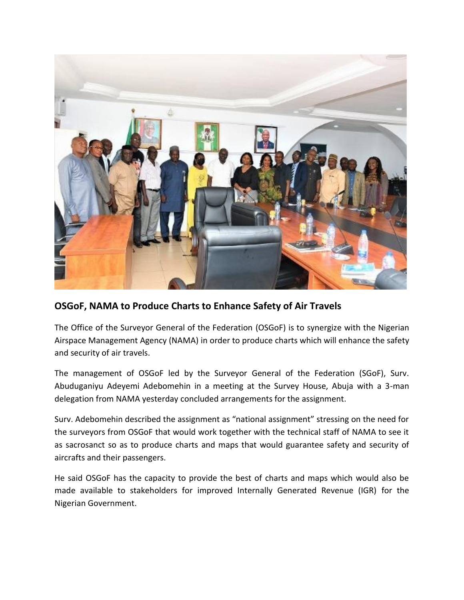

## **OSGoF, NAMA to Produce Charts to Enhance Safety of Air Travels**

The Office of the Surveyor General of the Federation (OSGoF) is to synergize with the Nigerian Airspace Management Agency (NAMA) in order to produce charts which will enhance the safety and security of air travels.

The management of OSGoF led by the Surveyor General of the Federation (SGoF), Surv. Abuduganiyu Adeyemi Adebomehin in a meeting at the Survey House, Abuja with a 3-man delegation from NAMA yesterday concluded arrangements for the assignment.

Surv. Adebomehin described the assignment as "national assignment" stressing on the need for the surveyors from OSGoF that would work together with the technical staff of NAMA to see it as sacrosanct so as to produce charts and maps that would guarantee safety and security of aircrafts and their passengers.

He said OSGoF has the capacity to provide the best of charts and maps which would also be made available to stakeholders for improved Internally Generated Revenue (IGR) for the Nigerian Government.